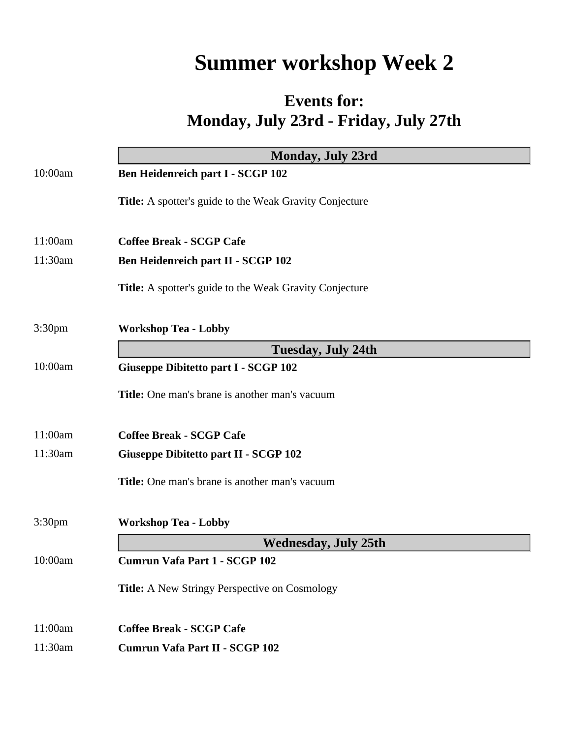## **Summer workshop Week 2**

## **Events for: Monday, July 23rd - Friday, July 27th**

|                    | <b>Monday, July 23rd</b>                                       |
|--------------------|----------------------------------------------------------------|
| 10:00am            | <b>Ben Heidenreich part I - SCGP 102</b>                       |
|                    | <b>Title:</b> A spotter's guide to the Weak Gravity Conjecture |
| 11:00am            | <b>Coffee Break - SCGP Cafe</b>                                |
| 11:30am            | <b>Ben Heidenreich part II - SCGP 102</b>                      |
|                    | <b>Title:</b> A spotter's guide to the Weak Gravity Conjecture |
| 3:30 <sub>pm</sub> | <b>Workshop Tea - Lobby</b>                                    |
|                    | <b>Tuesday, July 24th</b>                                      |
| 10:00am            | <b>Giuseppe Dibitetto part I - SCGP 102</b>                    |
|                    | <b>Title:</b> One man's brane is another man's vacuum          |
| 11:00am            | <b>Coffee Break - SCGP Cafe</b>                                |
| 11:30am            | <b>Giuseppe Dibitetto part II - SCGP 102</b>                   |
|                    | <b>Title:</b> One man's brane is another man's vacuum          |
| 3:30 <sub>pm</sub> | <b>Workshop Tea - Lobby</b>                                    |
|                    | <b>Wednesday, July 25th</b>                                    |
| 10:00am            | Cumrun Vafa Part 1 - SCGP 102                                  |
|                    | <b>Title:</b> A New Stringy Perspective on Cosmology           |
| 11:00am            | <b>Coffee Break - SCGP Cafe</b>                                |
| 11:30am            | Cumrun Vafa Part II - SCGP 102                                 |